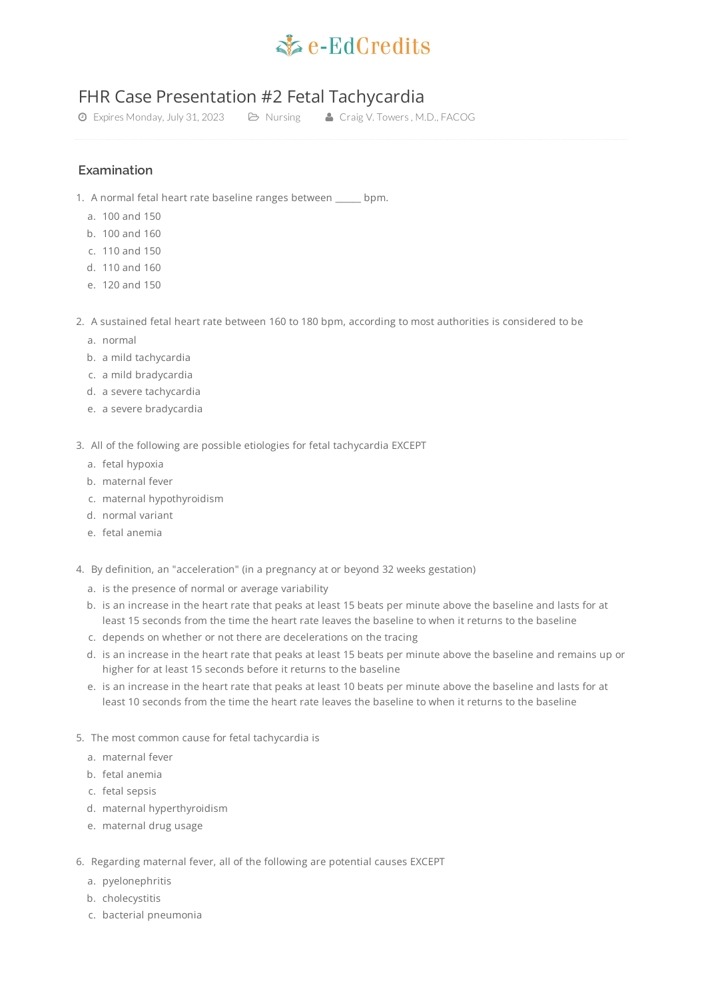

## FHR Case Presentation #2 Fetal Tachycardia

Expires Monday, July 31, 2023 Nursing Craig V. Towers , M.D., FACOG

## **Examination**

- 1. A normal fetal heart rate baseline ranges between \_\_\_\_\_\_ bpm.
	- a. 100 and 150
	- b. 100 and 160
	- c. 110 and 150
	- d. 110 and 160
	- e. 120 and 150
- 2. A sustained fetal heart rate between 160 to 180 bpm, according to most authorities is considered to be
	- a. normal
	- b. a mild tachycardia
	- c. a mild bradycardia
	- d. a severe tachycardia
	- e. a severe bradycardia
- 3. All of the following are possible etiologies for fetal tachycardia EXCEPT
	- a. fetal hypoxia
	- b. maternal fever
	- c. maternal hypothyroidism
	- d. normal variant
	- e. fetal anemia
- 4. By definition, an "acceleration" (in a pregnancy at or beyond 32 weeks gestation)
	- a. is the presence of normal or average variability
	- b. is an increase in the heart rate that peaks at least 15 beats per minute above the baseline and lasts for at least 15 seconds from the time the heart rate leaves the baseline to when it returns to the baseline
	- c. depends on whether or not there are decelerations on the tracing
	- d. is an increase in the heart rate that peaks at least 15 beats per minute above the baseline and remains up or higher for at least 15 seconds before it returns to the baseline
	- e. is an increase in the heart rate that peaks at least 10 beats per minute above the baseline and lasts for at least 10 seconds from the time the heart rate leaves the baseline to when it returns to the baseline
- 5. The most common cause for fetal tachycardia is
	- a. maternal fever
	- b. fetal anemia
	- c. fetal sepsis
	- d. maternal hyperthyroidism
	- e. maternal drug usage
- 6. Regarding maternal fever, all of the following are potential causes EXCEPT
	- a. pyelonephritis
	- b. cholecystitis
	- c. bacterial pneumonia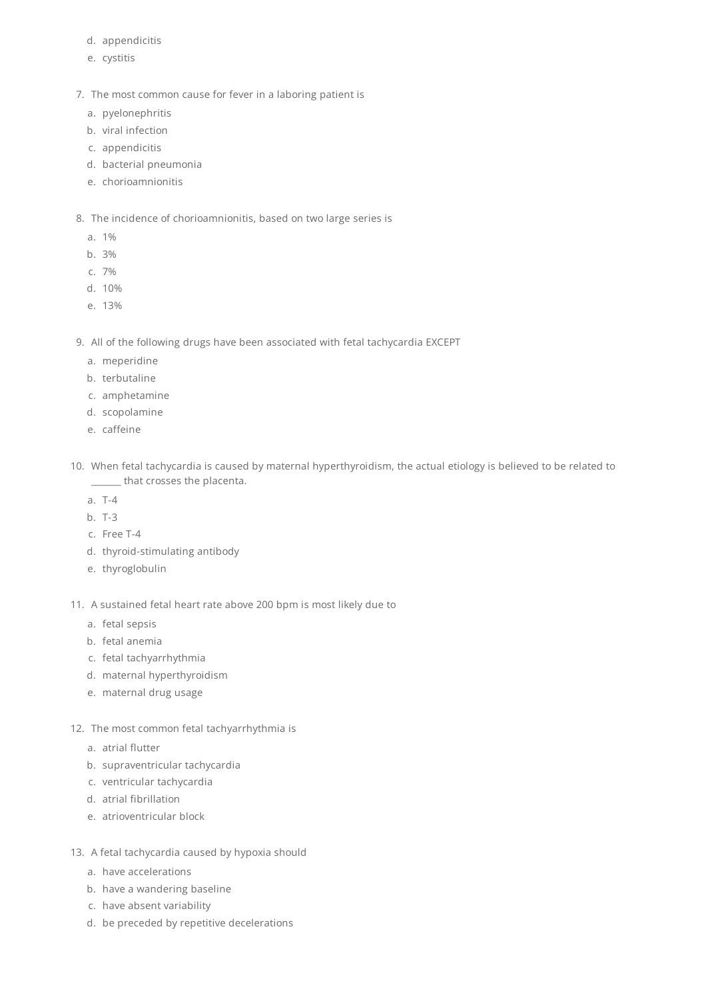- d. appendicitis
- e. cystitis
- 7. The most common cause for fever in a laboring patient is
	- a. pyelonephritis
	- b. viral infection
	- c. appendicitis
	- d. bacterial pneumonia
	- e. chorioamnionitis
- 8. The incidence of chorioamnionitis, based on two large series is
	- a. 1%
	- b. 3%
	- c. 7%
	- d. 10%
	- e. 13%
- 9. All of the following drugs have been associated with fetal tachycardia EXCEPT
	- a. meperidine
	- b. terbutaline
	- c. amphetamine
	- d. scopolamine
	- e. caffeine
- 10. When fetal tachycardia is caused by maternal hyperthyroidism, the actual etiology is believed to be related to \_\_\_\_\_\_\_ that crosses the placenta.
	- a. T-4
	- b. T-3
	- c. Free T-4
	- d. thyroid-stimulating antibody
	- e. thyroglobulin
- 11. A sustained fetal heart rate above 200 bpm is most likely due to
	- a. fetal sepsis
	- b. fetal anemia
	- c. fetal tachyarrhythmia
	- d. maternal hyperthyroidism
	- e. maternal drug usage
- 12. The most common fetal tachyarrhythmia is
	- a. atrial flutter
	- b. supraventricular tachycardia
	- c. ventricular tachycardia
	- d. atrial fibrillation
	- e. atrioventricular block
- 13. A fetal tachycardia caused by hypoxia should
	- a. have accelerations
	- b. have a wandering baseline
	- c. have absent variability
	- d. be preceded by repetitive decelerations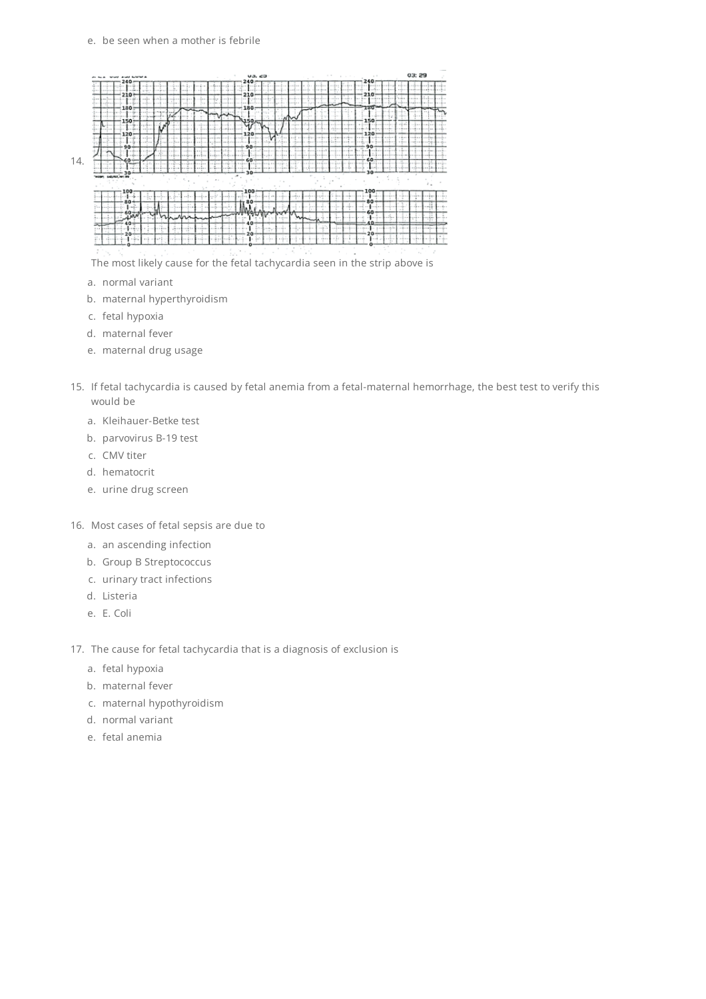## e. be seen when a mother is febrile

| di bon - Mart mat bottet a                                                             |                                                             | V3.69<br>$240 -$                                                                                           |                                                                                             | 240:                                                                      | 03:29                                            |
|----------------------------------------------------------------------------------------|-------------------------------------------------------------|------------------------------------------------------------------------------------------------------------|---------------------------------------------------------------------------------------------|---------------------------------------------------------------------------|--------------------------------------------------|
| $240 -$<br><b>HELP</b><br><b>STATISTICS</b>                                            | فاست                                                        | $-1.11$<br>$-100$<br><b>AMERICA</b><br>$-20.41$<br>$-1 - 1$                                                | <b>CONTRACTOR</b><br>1.171.1<br>1111111<br>als the<br>A-M                                   | des Gra<br>n bre<br>210-                                                  | 120911-0<br>                                     |
| 2103<br><b>CONTRACTOR</b><br>$-0.001$<br><b>HERE</b><br>$1 - 0 - 1$                    |                                                             | ۱o<br>$-200000$<br>$25 -$                                                                                  | .<br>16.40<br>---<br>22 E 2 2                                                               | 9.04011<br>4 1 8 8 8 1<br>1011-1123-11                                    | $1.16 - 1.1$<br>$-121$<br>nation.<br>iei Ben     |
| $180 -$<br>and and in the<br>$10^{10}$ m $^{-1}$<br>.<br><b>COM</b><br><b>Building</b> | and in<br>w<br>en via                                       | $180 -$<br>.<br>4150.                                                                                      | ∼                                                                                           | -120<br>$1 - 11 - 1$<br>150                                               | $-11$                                            |
| $150 -$<br>، سالگ<br>$-0.8 -$<br><b>STREET</b><br>$-120-$                              | $-1$<br>$-0.001$<br>a dia m<br><b>COLES</b><br><b>MARCH</b> | w<br>a da s<br><br>after at<br><br>. K<br>$-100 - 100$<br>120                                              | <b>VILLE</b>                                                                                |                                                                           |                                                  |
| $-111$<br>$-1.11$<br>$-0.05$<br>. . F<br>$-90-$                                        | <br><b>ALL AND AN</b>                                       | <br>$-1.4 - 1.$<br>44.95.13<br>1 1<br>$90 -$                                                               | .<br>$1.16 - 1.$<br>$x = -2x + 1$<br>$-1$<br>$-0.00$<br>a Forest La<br>$-46.00$<br>an alumn |                                                                           | <b>A P ROOM</b><br>$-48 - 14$<br>$-10^{16}$ at 1 |
| i e s<br><b>SPA</b><br><b>British</b><br>ro De                                         |                                                             | $-0.11$<br>2.3.1<br>$1 - 10 - 1$<br>$-100 - 100$<br>$-2.1$<br>in an<br>an Intelligence<br>in de ri<br>$-1$ | <b>The R</b><br>275.11<br><b>11566</b><br><br>$-1$                                          | 6Ο.                                                                       | <b>ALCOHOL</b><br>-- 1                           |
| <b>Contact Contact</b><br>ral de<br>. <b>.</b><br>1.11<br><br>$30 -$<br>$-$            |                                                             | o de C<br>$-1.00001$<br>$1 - 1 - 1$<br><b>COLORADO</b>                                                     |                                                                                             | <b>Continue</b><br><b>AN ALL LA</b><br><b>GAMES</b><br>$-1 - 1$<br>$30 -$ | 1.1.1.1<br>$-12.11$                              |
| HOSPI 642/67, HFT 09                                                                   |                                                             | 30                                                                                                         |                                                                                             |                                                                           |                                                  |
| $-100 -$<br>industrials<br>$-7 - 1$<br>$1 - 1 - 1$                                     |                                                             | $100 -$<br>autor bodoof on the                                                                             | $1000 + 1000$<br>$-1000$                                                                    | 100                                                                       | ×                                                |
| $80 +$<br>Linda of<br>$1 - 7 - 1$<br>60-                                               |                                                             | 80<br>u Bri                                                                                                | $-100 - 1$<br>$-45$<br>-- - -<br>The paint                                                  | ao⇒<br>në ndrrën<br>$-1.5-$<br>$60 -$                                     | $-3 - -$                                         |
| <b>JAV</b><br>.<br>$1.19 - 1.0$<br>$40 -$<br>u.                                        |                                                             | 40                                                                                                         | 117.11                                                                                      | $-$ Fig. $+$<br>$40 -$                                                    |                                                  |
| بقصة بر<br><b>SARAHA 45 FL</b><br>1.1<br>$20 -$                                        | i e vitin 1<br>$-1.711$<br><b>Little of the B</b><br>       | 11.99<br><b>ALCOHOL:</b><br>$20 -$                                                                         | n dia m<br>$1 - 1 - 1$<br>1.199<br>--<br>.                                                  | <b>CENT</b><br>$20 -$                                                     | $-15.1$                                          |
| <b>CALL OF ALL REAL</b>                                                                |                                                             | 19.1<br>$-10 - 10$                                                                                         |                                                                                             |                                                                           |                                                  |

The most likely cause for the fetal tachycardia seen in the strip above is

- a. normal variant
- b. maternal hyperthyroidism
- c. fetal hypoxia
- d. maternal fever
- e. maternal drug usage
- 15. If fetal tachycardia is caused by fetal anemia from a fetal-maternal hemorrhage, the best test to verify this would be
	- a. Kleihauer-Betke test
	- b. parvovirus B-19 test
	- c. CMV titer
	- d. hematocrit
	- e. urine drug screen
- 16. Most cases of fetal sepsis are due to
	- a. an ascending infection
	- b. Group B Streptococcus
	- c. urinary tract infections
	- d. Listeria
	- e. E. Coli
- 17. The cause for fetal tachycardia that is a diagnosis of exclusion is
	- a. fetal hypoxia
	- b. maternal fever
	- c. maternal hypothyroidism
	- d. normal variant
	- e. fetal anemia